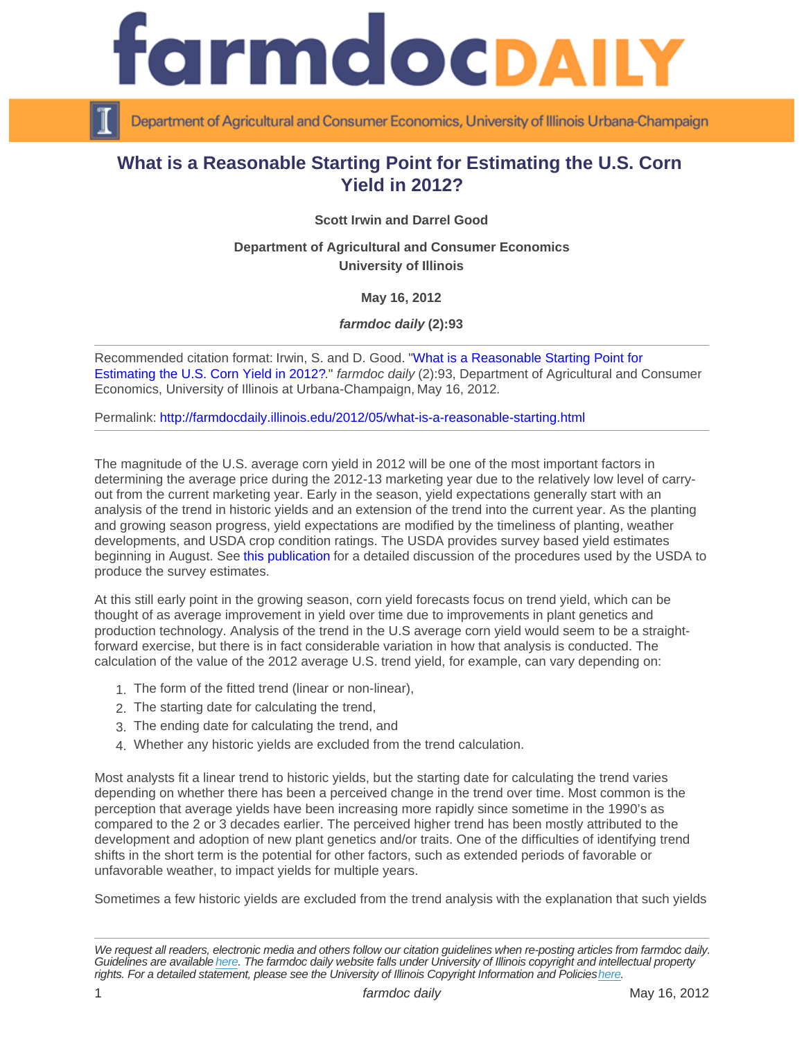## What is a Reasonable Starting Point for Estimating the U.S. Corn Yield in 2012?

Scott Irwin and Darrel Good

Department of Agricultural and Consumer Economics University of Illinois

May 16, 2012

farmdoc daily (2):93

Recommended citation format: Irwin, S. and D. Good. "[What is a Reasonable Starting Point for](http://farmdocdaily.illinois.edu/2012/05/what-is-a-reasonable-starting.html)  [Estimating the U.S. Corn Yield in 2012?](http://farmdocdaily.illinois.edu/2012/05/what-is-a-reasonable-starting.html)." farmdoc daily (2):93, Department of Agricultural and Consumer Economics, University of Illinois at Urbana-Champaign, May 16, 2012.

Permalink:<http://farmdocdaily.illinois.edu/2012/05/what-is-a-reasonable-starting.html>

The magnitude of the U.S. average corn yield in 2012 will be one of the most important factors in determining the average price during the 2012-13 marketing year due to the relatively low level of carryout from the current marketing year. Early in the season, yield expectations generally start with an analysis of the trend in historic yields and an extension of the trend into the current year. As the planting and growing season progress, yield expectations are modified by the timeliness of planting, weather developments, and USDA crop condition ratings. The USDA provides survey based yield estimates beginning in August. See [this publication](http://www.farmdoc.illinois.edu/marketing/mobr/mobr_11-02/mobr_11-02.pdf) for a detailed discussion of the procedures used by the USDA to produce the survey estimates.

At this still early point in the growing season, corn yield forecasts focus on trend yield, which can be thought of as average improvement in yield over time due to improvements in plant genetics and production technology. Analysis of the trend in the U.S average corn yield would seem to be a straightforward exercise, but there is in fact considerable variation in how that analysis is conducted. The calculation of the value of the 2012 average U.S. trend yield, for example, can vary depending on:

- 1. The form of the fitted trend (linear or non-linear),
- 2. The starting date for calculating the trend,
- 3. The ending date for calculating the trend, and
- 4. Whether any historic yields are excluded from the trend calculation.

Most analysts fit a linear trend to historic yields, but the starting date for calculating the trend varies depending on whether there has been a perceived change in the trend over time. Most common is the perception that average yields have been increasing more rapidly since sometime in the 1990's as compared to the 2 or 3 decades earlier. The perceived higher trend has been mostly attributed to the development and adoption of new plant genetics and/or traits. One of the difficulties of identifying trend shifts in the short term is the potential for other factors, such as extended periods of favorable or unfavorable weather, to impact yields for multiple years.

Sometimes a few historic yields are excluded from the trend analysis with the explanation that such yields

We request all readers, electronic media and others follow our citation guidelines when re-posting articles from farmdoc daily. Guidelines are available [here](http://farmdocdaily.illinois.edu/citationguide.html). The farmdoc daily website falls under University of Illinois copyright and intellectual property rights. For a detailed statement, please see the University of Illinois Copyright Information and Policies [here.](https://techservices.illinois.edu/office-cio)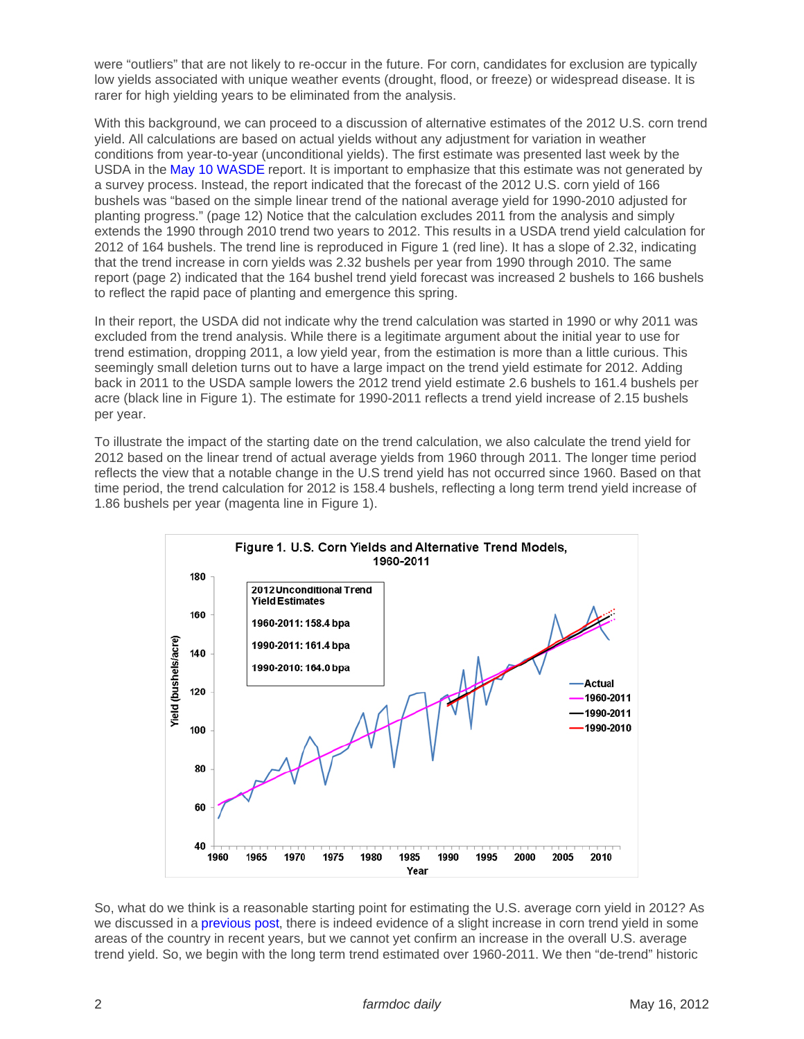were "outliers" that are not likely to re-occur in the future. For corn, candidates for exclusion are typically low yields associated with unique weather events (drought, flood, or freeze) or widespread disease. It is rarer for high yielding years to be eliminated from the analysis.

With this background, we can proceed to a discussion of alternative estimates of the 2012 U.S. corn trend yield. All calculations are based on actual yields without any adjustment for variation in weather conditions from year-to-year (unconditional yields). The first estimate was presented last week by the USDA in the [May 10 WASDE](http://usda.mannlib.cornell.edu/usda/waob/wasde//2010s/2012/wasde-05-10-2012.pdf) report. It is important to emphasize that this estimate was not generated by a survey process. Instead, the report indicated that the forecast of the 2012 U.S. corn yield of 166 bushels was "based on the simple linear trend of the national average yield for 1990-2010 adjusted for planting progress." (page 12) Notice that the calculation excludes 2011 from the analysis and simply extends the 1990 through 2010 trend two years to 2012. This results in a USDA trend yield calculation for 2012 of 164 bushels. The trend line is reproduced in Figure 1 (red line). It has a slope of 2.32, indicating that the trend increase in corn yields was 2.32 bushels per year from 1990 through 2010. The same report (page 2) indicated that the 164 bushel trend yield forecast was increased 2 bushels to 166 bushels to reflect the rapid pace of planting and emergence this spring.

In their report, the USDA did not indicate why the trend calculation was started in 1990 or why 2011 was excluded from the trend analysis. While there is a legitimate argument about the initial year to use for trend estimation, dropping 2011, a low yield year, from the estimation is more than a little curious. This seemingly small deletion turns out to have a large impact on the trend yield estimate for 2012. Adding back in 2011 to the USDA sample lowers the 2012 trend yield estimate 2.6 bushels to 161.4 bushels per acre (black line in Figure 1). The estimate for 1990-2011 reflects a trend yield increase of 2.15 bushels per year.

To illustrate the impact of the starting date on the trend calculation, we also calculate the trend yield for 2012 based on the linear trend of actual average yields from 1960 through 2011. The longer time period reflects the view that a notable change in the U.S trend yield has not occurred since 1960. Based on that time period, the trend calculation for 2012 is 158.4 bushels, reflecting a long term trend yield increase of 1.86 bushels per year (magenta line in Figure 1).

So, what do we think is a reasonable starting point for estimating the U.S. average corn yield in 2012? As we discussed in a [previous post,](http://farmdocdaily.illinois.edu/2012/02/the-historic-pattern-of-us-win.html) there is indeed evidence of a slight increase in corn trend yield in some areas of the country in recent years, but we cannot yet confirm an increase in the overall U.S. average trend yield. So, we begin with the long term trend estimated over 1960-2011. We then "de-trend" historic